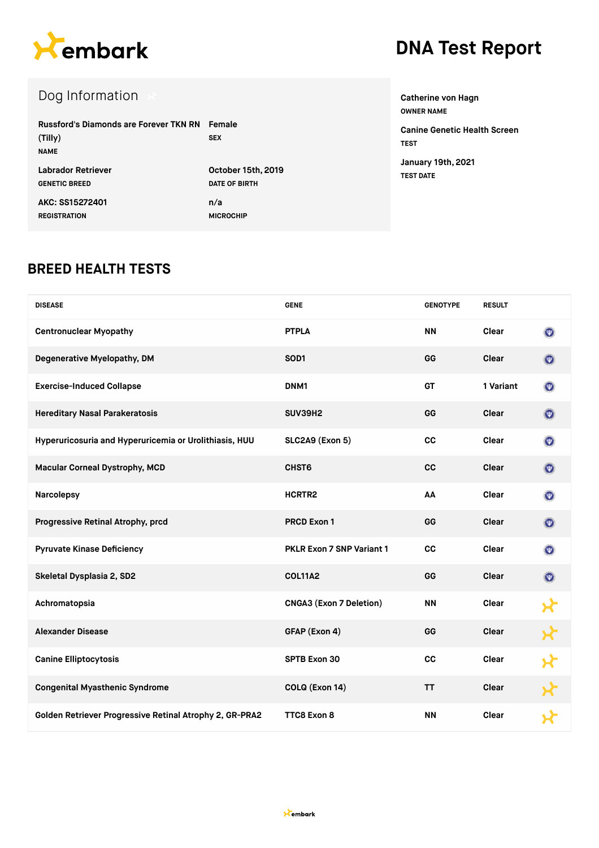

## **DNA Test Report**

## Dog Information

| Russford's Diamonds are Forever TKN RN Female<br>(Tilly)<br><b>NAME</b> | <b>SEX</b>         |
|-------------------------------------------------------------------------|--------------------|
| Labrador Retriever                                                      | October 15th, 2019 |
| <b>GENETIC BREED</b>                                                    | DATE OF BIRTH      |
| AKC: SS15272401                                                         | n/a                |
| <b>REGISTRATION</b>                                                     | <b>MICROCHIP</b>   |

**Catherine von Hagn OWNER NAME**

**Canine Genetic Health Screen TEST January 19th, 2021 TEST DATE**

#### **BREED HEALTH TESTS**

| <b>DISEASE</b>                                          | <b>GENE</b>                      | <b>GENOTYPE</b> | <b>RESULT</b> |                     |
|---------------------------------------------------------|----------------------------------|-----------------|---------------|---------------------|
| <b>Centronuclear Myopathy</b>                           | <b>PTPLA</b>                     | <b>NN</b>       | Clear         | $(\mathbf{w})$      |
| Degenerative Myelopathy, DM                             | SOD <sub>1</sub>                 | GG              | <b>Clear</b>  | $(\overline{\Psi})$ |
| <b>Exercise-Induced Collapse</b>                        | DNM1                             | <b>GT</b>       | 1 Variant     | $(\overline{\Psi})$ |
| <b>Hereditary Nasal Parakeratosis</b>                   | SUV39H2                          | GG              | Clear         | $(\overline{\Psi})$ |
| Hyperuricosuria and Hyperuricemia or Urolithiasis, HUU  | SLC2A9 (Exon 5)                  | cc              | Clear         | $\left( 0\right)$   |
| Macular Corneal Dystrophy, MCD                          | CHST6                            | cc              | Clear         | $(\Psi)$            |
| Narcolepsy                                              | HCRTR2                           | AA              | Clear         | $\odot$             |
| Progressive Retinal Atrophy, prcd                       | <b>PRCD Exon 1</b>               | GG              | <b>Clear</b>  | $(\nabla)$          |
| <b>Pyruvate Kinase Deficiency</b>                       | <b>PKLR Exon 7 SNP Variant 1</b> | cc              | Clear         | $(\Psi)$            |
| Skeletal Dysplasia 2, SD2                               | <b>COL11A2</b>                   | GG              | <b>Clear</b>  | $\bullet$           |
| Achromatopsia                                           | <b>CNGA3 (Exon 7 Deletion)</b>   | <b>NN</b>       | Clear         |                     |
| <b>Alexander Disease</b>                                | GFAP (Exon 4)                    | GG              | Clear         |                     |
| <b>Canine Elliptocytosis</b>                            | <b>SPTB Exon 30</b>              | cc              | Clear         |                     |
| <b>Congenital Myasthenic Syndrome</b>                   | COLQ (Exon 14)                   | <b>TT</b>       | <b>Clear</b>  |                     |
| Golden Retriever Progressive Retinal Atrophy 2, GR-PRA2 | TTC8 Exon 8                      | <b>NN</b>       | Clear         |                     |